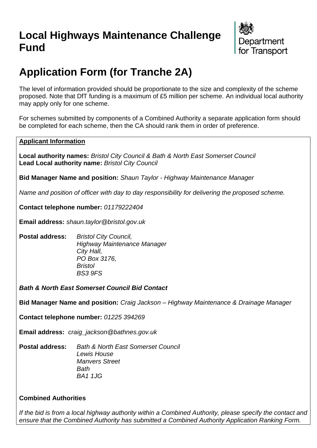## **Local Highways Maintenance Challenge Fund**



# **Application Form (for Tranche 2A)**

The level of information provided should be proportionate to the size and complexity of the scheme proposed. Note that DfT funding is a maximum of £5 million per scheme. An individual local authority may apply only for one scheme.

For schemes submitted by components of a Combined Authority a separate application form should be completed for each scheme, then the CA should rank them in order of preference.

#### **Applicant Information**

**Local authority names:** *Bristol City Council & Bath & North East Somerset Council* **Lead Local authority name:** *Bristol City Council*

**Bid Manager Name and position:** *Shaun Taylor - Highway Maintenance Manager*

*Name and position of officer with day to day responsibility for delivering the proposed scheme.* 

**Contact telephone number:** *01179222404*

**Email address:** *shaun.taylor@bristol.gov.uk*

**Postal address:** *Bristol City Council, Highway Maintenance Manager City Hall, PO Box 3176, Bristol BS3 9FS* 

*Bath & North East Somerset Council Bid Contact*

**Bid Manager Name and position:** *Craig Jackson – Highway Maintenance & Drainage Manager*

**Contact telephone number:** *01225 394269*

**Email address:** *craig\_jackson@bathnes.gov.uk*

**Postal address:** *Bath & North East Somerset Council Lewis House Manvers Street Bath BA1 1JG* 

#### **Combined Authorities**

*If the bid is from a local highway authority within a Combined Authority, please specify the contact and ensure that the Combined Authority has submitted a Combined Authority Application Ranking Form.*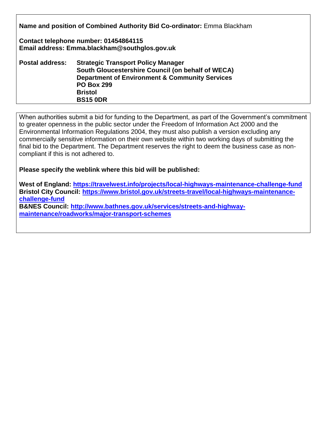**Name and position of Combined Authority Bid Co-ordinator:** Emma Blackham

**Contact telephone number: 01454864115 Email address: Emma.blackham@southglos.gov.uk**

| <b>Postal address:</b> | <b>Strategic Transport Policy Manager</b>                 |
|------------------------|-----------------------------------------------------------|
|                        | South Gloucestershire Council (on behalf of WECA)         |
|                        | <b>Department of Environment &amp; Community Services</b> |
|                        | <b>PO Box 299</b>                                         |
|                        | <b>Bristol</b>                                            |
|                        | <b>BS15 0DR</b>                                           |

When authorities submit a bid for funding to the Department, as part of the Government's commitment to greater openness in the public sector under the Freedom of Information Act 2000 and the Environmental Information Regulations 2004, they must also publish a version excluding any commercially sensitive information on their own website within two working days of submitting the final bid to the Department. The Department reserves the right to deem the business case as noncompliant if this is not adhered to.

**Please specify the weblink where this bid will be published:**

**West of England:<https://travelwest.info/projects/local-highways-maintenance-challenge-fund> Bristol City Council: [https://www.bristol.gov.uk/streets-travel/local-highways-maintenance](https://www.bristol.gov.uk/streets-travel/local-highways-maintenance-challenge-fund)[challenge-fund](https://www.bristol.gov.uk/streets-travel/local-highways-maintenance-challenge-fund)**

**B&NES Council: [http://www.bathnes.gov.uk/services/streets-and-highway](http://www.bathnes.gov.uk/services/streets-and-highway-maintenance/roadworks/major-transport-schemes)[maintenance/roadworks/major-transport-schemes](http://www.bathnes.gov.uk/services/streets-and-highway-maintenance/roadworks/major-transport-schemes)**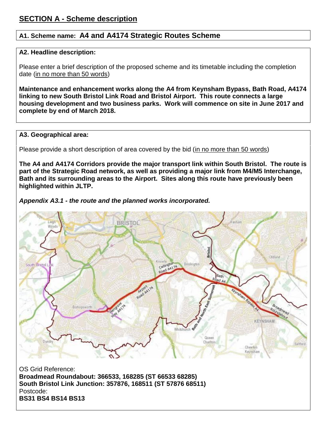## **A1. Scheme name: A4 and A4174 Strategic Routes Scheme**

#### **A2. Headline description:**

Please enter a brief description of the proposed scheme and its timetable including the completion date (in no more than 50 words)

**Maintenance and enhancement works along the A4 from Keynsham Bypass, Bath Road, A4174 linking to new South Bristol Link Road and Bristol Airport. This route connects a large housing development and two business parks. Work will commence on site in June 2017 and complete by end of March 2018.**

#### **A3. Geographical area:**

Please provide a short description of area covered by the bid (in no more than 50 words)

**The A4 and A4174 Corridors provide the major transport link within South Bristol. The route is part of the Strategic Road network, as well as providing a major link from M4/M5 Interchange, Bath and its surrounding areas to the Airport. Sites along this route have previously been highlighted within JLTP.**

*Appendix A3.1 - the route and the planned works incorporated.*



OS Grid Reference: **Broadmead Roundabout: 366533, 168285 (ST 66533 68285) South Bristol Link Junction: 357876, 168511 (ST 57876 68511)** Postcode: **BS31 BS4 BS14 BS13**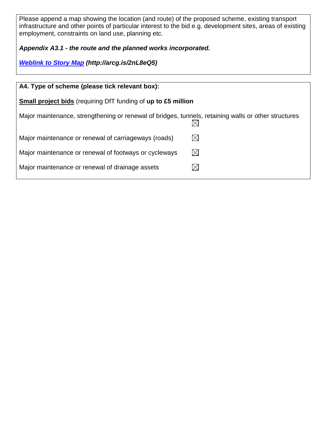Please append a map showing the location (and route) of the proposed scheme, existing transport infrastructure and other points of particular interest to the bid e.g. development sites, areas of existing employment, constraints on land use, planning etc.

*Appendix A3.1 - the route and the planned works incorporated.*

*[Weblink to Story Map](http://arcg.is/2nL8eQ5) (http://arcg.is/2nL8eQ5)*

| A4. Type of scheme (please tick relevant box):                                                       |             |  |  |
|------------------------------------------------------------------------------------------------------|-------------|--|--|
| <b>Small project bids</b> (requiring DfT funding of up to £5 million                                 |             |  |  |
| Major maintenance, strengthening or renewal of bridges, tunnels, retaining walls or other structures |             |  |  |
| Major maintenance or renewal of carriageways (roads)                                                 | $\boxtimes$ |  |  |
| Major maintenance or renewal of footways or cycleways                                                |             |  |  |
| Major maintenance or renewal of drainage assets                                                      |             |  |  |
|                                                                                                      |             |  |  |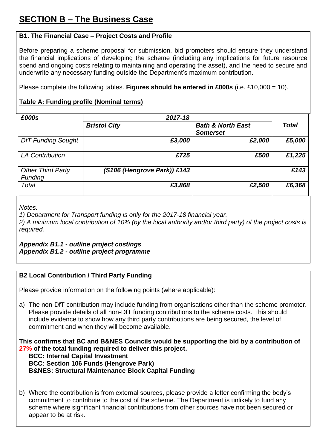## **B1. The Financial Case – Project Costs and Profile**

Before preparing a scheme proposal for submission, bid promoters should ensure they understand the financial implications of developing the scheme (including any implications for future resource spend and ongoing costs relating to maintaining and operating the asset), and the need to secure and underwrite any necessary funding outside the Department's maximum contribution.

Please complete the following tables. **Figures should be entered in £000s** (i.e. £10,000 = 10).

## **Table A: Funding profile (Nominal terms)**

| £000s                               | 2017-18                     |                                                 |              |
|-------------------------------------|-----------------------------|-------------------------------------------------|--------------|
|                                     | <b>Bristol City</b>         | <b>Bath &amp; North East</b><br><b>Somerset</b> | <b>Total</b> |
| <b>DfT Funding Sought</b>           | £3,000                      | £2,000                                          | £5,000       |
| <b>LA Contribution</b>              | £725                        | £500                                            | £1,225       |
| <b>Other Third Party</b><br>Funding | (S106 (Hengrove Park)) £143 |                                                 | £143         |
| Total                               | £3,868                      | £2,500                                          | £6,368       |

*Notes:*

*1) Department for Transport funding is only for the 2017-18 financial year.*

*2) A minimum local contribution of 10% (by the local authority and/or third party) of the project costs is required.*

*Appendix B1.1 - outline project costings Appendix B1.2 - outline project programme*

#### **B2 Local Contribution / Third Party Funding**

Please provide information on the following points (where applicable):

a) The non-DfT contribution may include funding from organisations other than the scheme promoter. Please provide details of all non-DfT funding contributions to the scheme costs. This should include evidence to show how any third party contributions are being secured, the level of commitment and when they will become available.

**This confirms that BC and B&NES Councils would be supporting the bid by a contribution of 27% of the total funding required to deliver this project.** 

**BCC: Internal Capital Investment BCC: Section 106 Funds (Hengrove Park) B&NES: Structural Maintenance Block Capital Funding**

b) Where the contribution is from external sources, please provide a letter confirming the body's commitment to contribute to the cost of the scheme. The Department is unlikely to fund any scheme where significant financial contributions from other sources have not been secured or appear to be at risk.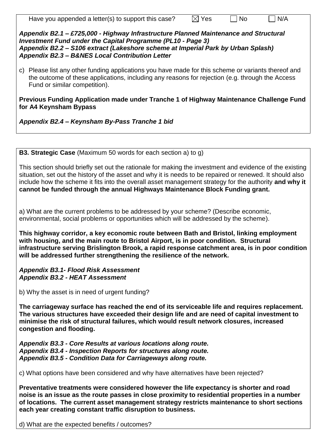Have you appended a letter(s) to support this case?  $\boxtimes$  Yes  $\Box$  No  $\Box$  N/A

*Appendix B2.1 – £725,000 - Highway Infrastructure Planned Maintenance and Structural Investment Fund under the Capital Programme (PL10 - Page 3) Appendix B2.2 – S106 extract (Lakeshore scheme at Imperial Park by Urban Splash) Appendix B2.3 – B&NES Local Contribution Letter*

c) Please list any other funding applications you have made for this scheme or variants thereof and the outcome of these applications, including any reasons for rejection (e.g. through the Access Fund or similar competition).

**Previous Funding Application made under Tranche 1 of Highway Maintenance Challenge Fund for A4 Keynsham Bypass**

*Appendix B2.4 – Keynsham By-Pass Tranche 1 bid*

**B3. Strategic Case** (Maximum 50 words for each section a) to g)

This section should briefly set out the rationale for making the investment and evidence of the existing situation, set out the history of the asset and why it is needs to be repaired or renewed. It should also include how the scheme it fits into the overall asset management strategy for the authority **and why it cannot be funded through the annual Highways Maintenance Block Funding grant.** 

a) What are the current problems to be addressed by your scheme? (Describe economic, environmental, social problems or opportunities which will be addressed by the scheme).

**This highway corridor, a key economic route between Bath and Bristol, linking employment with housing, and the main route to Bristol Airport, is in poor condition. Structural infrastructure serving Brislington Brook, a rapid response catchment area, is in poor condition will be addressed further strengthening the resilience of the network.** 

*Appendix B3.1- Flood Risk Assessment Appendix B3.2 - HEAT Assessment*

b) Why the asset is in need of urgent funding?

**The carriageway surface has reached the end of its serviceable life and requires replacement. The various structures have exceeded their design life and are need of capital investment to minimise the risk of structural failures, which would result network closures, increased congestion and flooding.**

*Appendix B3.3 - Core Results at various locations along route. Appendix B3.4 - Inspection Reports for structures along route. Appendix B3.5 - Condition Data for Carriageways along route.*

c) What options have been considered and why have alternatives have been rejected?

**Preventative treatments were considered however the life expectancy is shorter and road noise is an issue as the route passes in close proximity to residential properties in a number of locations. The current asset management strategy restricts maintenance to short sections each year creating constant traffic disruption to business.**

d) What are the expected benefits / outcomes?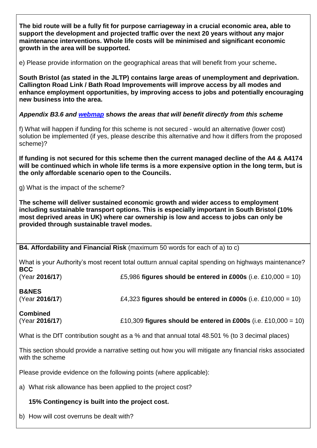**The bid route will be a fully fit for purpose carriageway in a crucial economic area, able to support the development and projected traffic over the next 20 years without any major maintenance interventions. Whole life costs will be minimised and significant economic growth in the area will be supported.**

e) Please provide information on the geographical areas that will benefit from your scheme**.** 

**South Bristol (as stated in the JLTP) contains large areas of unemployment and deprivation. Callington Road Link / Bath Road Improvements will improve access by all modes and enhance employment opportunities, by improving access to jobs and potentially encouraging new business into the area.**

#### *Appendix B3.6 and [webmap](http://arcg.is/2nL8eQ5) shows the areas that will benefit directly from this scheme*

f) What will happen if funding for this scheme is not secured - would an alternative (lower cost) solution be implemented (if yes, please describe this alternative and how it differs from the proposed scheme)?

**If funding is not secured for this scheme then the current managed decline of the A4 & A4174 will be continued which in whole life terms is a more expensive option in the long term, but is the only affordable scenario open to the Councils.**

g) What is the impact of the scheme?

**The scheme will deliver sustained economic growth and wider access to employment including sustainable transport options. This is especially important in South Bristol (10% most deprived areas in UK) where car ownership is low and access to jobs can only be provided through sustainable travel modes.**

**B4. Affordability and Financial Risk** (maximum 50 words for each of a) to c)

What is your Authority's most recent total outturn annual capital spending on highways maintenance? **BCC** (Year **2016/17**) £5,986 **figures should be entered in £000s** (i.e. £10,000 = 10)

| <b>B&amp;NES</b> |                                                               |
|------------------|---------------------------------------------------------------|
| (Year 2016/17)   | £4,323 figures should be entered in £000s (i.e. £10,000 = 10) |

**Combined** (Year **2016/17**) £10,309 **figures should be entered in £000s** (i.e. £10,000 = 10)

What is the DfT contribution sought as a % and that annual total 48.501 % (to 3 decimal places)

This section should provide a narrative setting out how you will mitigate any financial risks associated with the scheme

Please provide evidence on the following points (where applicable):

a) What risk allowance has been applied to the project cost?

#### **15% Contingency is built into the project cost.**

b) How will cost overruns be dealt with?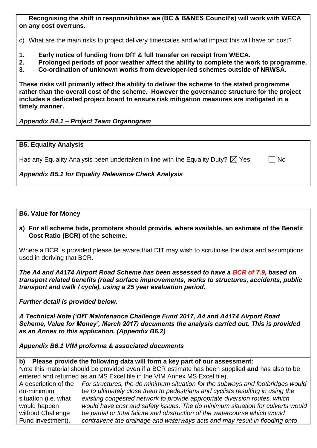#### **Recognising the shift in responsibilities we (BC & B&NES Council's) will work with WECA on any cost overruns.**

c) What are the main risks to project delivery timescales and what impact this will have on cost?

- **1. Early notice of funding from DfT & full transfer on receipt from WECA.**
- **2. Prolonged periods of poor weather affect the ability to complete the work to programme.**
- **3. Co-ordination of unknown works from developer-led schemes outside of NRWSA.**

**These risks will primarily affect the ability to deliver the scheme to the stated programme rather than the overall cost of the scheme. However the governance structure for the project includes a dedicated project board to ensure risk mitigation measures are instigated in a timely manner.** 

#### *Appendix B4.1 – Project Team Organogram*

#### **B5. Equality Analysis**

Has any Equality Analysis been undertaken in line with the Equality Duty?  $\boxtimes$  Yes

*Appendix B5.1 for Equality Relevance Check Analysis*

#### **B6. Value for Money**

**a) For all scheme bids, promoters should provide, where available, an estimate of the Benefit Cost Ratio (BCR) of the scheme.** 

Where a BCR is provided please be aware that DfT may wish to scrutinise the data and assumptions used in deriving that BCR.

*The A4 and A4174 Airport Road Scheme has been assessed to have a BCR of 7.9, based on transport related benefits (road surface improvements, works to structures, accidents, public transport and walk / cycle), using a 25 year evaluation period.* 

*Further detail is provided below.* 

*A Technical Note ('DfT Maintenance Challenge Fund 2017, A4 and A4174 Airport Road Scheme, Value for Money', March 2017) documents the analysis carried out. This is provided as an Annex to this application. (Appendix B6.2)*

*Appendix B6.1 VfM proforma & associated documents*

#### **b) Please provide the following data will form a key part of our assessment:**

Note this material should be provided even if a BCR estimate has been supplied **and** has also to be entered and returned as an MS Excel file in the VfM Annex MS Excel file).

|                      | A description of the $\mid$ For structures, the do minimum situation for the subways and footbridges would |
|----------------------|------------------------------------------------------------------------------------------------------------|
| do-minimum           | be to ultimately close them to pedestrians and cyclists resulting in using the                             |
| situation (i.e. what | existing congested network to provide appropriate diversion routes, which                                  |
| would happen         | would have cost and safety issues. The do minimum situation for culverts would                             |
| without Challenge    | be partial or total failure and obstruction of the watercourse which would                                 |
| Fund investment).    | contravene the drainage and waterways acts and may result in flooding onto                                 |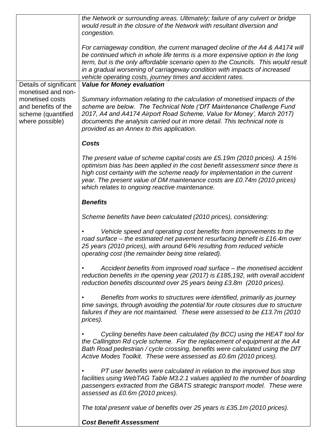|                                                                                                       | the Network or surrounding areas. Ultimately; failure of any culvert or bridge<br>would result in the closure of the Network with resultant diversion and<br>congestion.                                                                                                                                                                                                                       |
|-------------------------------------------------------------------------------------------------------|------------------------------------------------------------------------------------------------------------------------------------------------------------------------------------------------------------------------------------------------------------------------------------------------------------------------------------------------------------------------------------------------|
|                                                                                                       | For carriageway condition, the current managed decline of the A4 & A4174 will<br>be continued which in whole life terms is a more expensive option in the long<br>term, but is the only affordable scenario open to the Councils. This would result<br>in a gradual worsening of carriageway condition with impacts of increased<br>vehicle operating costs, journey times and accident rates. |
| Details of significant                                                                                | <b>Value for Money evaluation</b>                                                                                                                                                                                                                                                                                                                                                              |
| monetised and non-<br>monetised costs<br>and benefits of the<br>scheme (quantified<br>where possible) | Summary information relating to the calculation of monetised impacts of the<br>scheme are below. The Technical Note ('DfT Maintenance Challenge Fund<br>2017, A4 and A4174 Airport Road Scheme, Value for Money', March 2017)<br>documents the analysis carried out in more detail. This technical note is<br>provided as an Annex to this application.                                        |
|                                                                                                       | <b>Costs</b>                                                                                                                                                                                                                                                                                                                                                                                   |
|                                                                                                       | The present value of scheme capital costs are £5.19m (2010 prices). A 15%<br>optimism bias has been applied in the cost benefit assessment since there is<br>high cost certainty with the scheme ready for implementation in the current<br>year. The present value of DM maintenance costs are £0.74m (2010 prices)<br>which relates to ongoing reactive maintenance.                         |
|                                                                                                       | <b>Benefits</b>                                                                                                                                                                                                                                                                                                                                                                                |
|                                                                                                       | Scheme benefits have been calculated (2010 prices), considering:                                                                                                                                                                                                                                                                                                                               |
|                                                                                                       | Vehicle speed and operating cost benefits from improvements to the<br>road surface - the estimated net pavement resurfacing benefit is £16.4m over<br>25 years (2010 prices), with around 64% resulting from reduced vehicle<br>operating cost (the remainder being time related).                                                                                                             |
|                                                                                                       | Accident benefits from improved road surface – the monetised accident<br>reduction benefits in the opening year (2017) is £185,192, with overall accident<br>reduction benefits discounted over 25 years being £3.8m (2010 prices).                                                                                                                                                            |
|                                                                                                       | Benefits from works to structures were identified, primarily as journey<br>time savings, through avoiding the potential for route closures due to structure<br>failures if they are not maintained. These were assessed to be £13.7m (2010<br>prices).                                                                                                                                         |
|                                                                                                       | Cycling benefits have been calculated (by BCC) using the HEAT tool for<br>the Callington Rd cycle scheme. For the replacement of equipment at the A4<br>Bath Road pedestrian / cycle crossing, benefits were calculated using the DfT<br>Active Modes Toolkit. These were assessed as £0.6m (2010 prices).                                                                                     |
|                                                                                                       | PT user benefits were calculated in relation to the improved bus stop<br>facilities using WebTAG Table M3.2.1 values applied to the number of boarding<br>passengers extracted from the GBATS strategic transport model. These were<br>assessed as £0.6m (2010 prices).                                                                                                                        |
|                                                                                                       | The total present value of benefits over 25 years is £35.1m (2010 prices).                                                                                                                                                                                                                                                                                                                     |
|                                                                                                       | <b>Cost Benefit Assessment</b>                                                                                                                                                                                                                                                                                                                                                                 |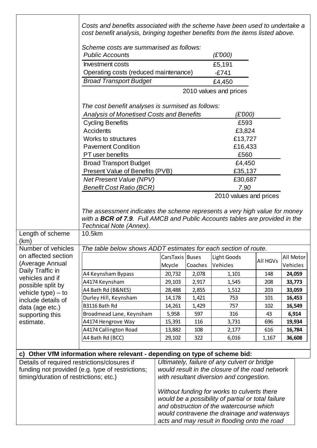|                                                                                        | Costs and benefits associated with the scheme have been used to undertake a<br>cost benefit analysis, bringing together benefits from the items listed above.                        |                           |            |                                                                                                                                                                                                                                               |                 |                       |
|----------------------------------------------------------------------------------------|--------------------------------------------------------------------------------------------------------------------------------------------------------------------------------------|---------------------------|------------|-----------------------------------------------------------------------------------------------------------------------------------------------------------------------------------------------------------------------------------------------|-----------------|-----------------------|
|                                                                                        | Scheme costs are summarised as follows:<br><b>Public Accounts</b>                                                                                                                    |                           |            | (£'000)                                                                                                                                                                                                                                       |                 |                       |
|                                                                                        | <b>Investment costs</b>                                                                                                                                                              |                           |            | £5,191                                                                                                                                                                                                                                        |                 |                       |
|                                                                                        | Operating costs (reduced maintenance)                                                                                                                                                |                           |            | $-£741$                                                                                                                                                                                                                                       |                 |                       |
|                                                                                        | <b>Broad Transport Budget</b>                                                                                                                                                        |                           |            | £4,450                                                                                                                                                                                                                                        |                 |                       |
|                                                                                        |                                                                                                                                                                                      |                           |            | 2010 values and prices                                                                                                                                                                                                                        |                 |                       |
|                                                                                        | The cost benefit analyses is surmised as follows:                                                                                                                                    |                           |            |                                                                                                                                                                                                                                               |                 |                       |
|                                                                                        | Analysis of Monetised Costs and Benefits                                                                                                                                             |                           |            | (£'000)                                                                                                                                                                                                                                       |                 |                       |
|                                                                                        | <b>Cycling Benefits</b>                                                                                                                                                              |                           |            | £593                                                                                                                                                                                                                                          |                 |                       |
|                                                                                        | Accidents                                                                                                                                                                            |                           |            | £3,824                                                                                                                                                                                                                                        |                 |                       |
|                                                                                        | Works to structures                                                                                                                                                                  |                           |            | £13,727                                                                                                                                                                                                                                       |                 |                       |
|                                                                                        | <b>Pavement Condition</b>                                                                                                                                                            |                           |            | £16,433                                                                                                                                                                                                                                       |                 |                       |
|                                                                                        | PT user benefits                                                                                                                                                                     |                           |            | £560                                                                                                                                                                                                                                          |                 |                       |
|                                                                                        | <b>Broad Transport Budget</b>                                                                                                                                                        |                           |            | £4,450                                                                                                                                                                                                                                        |                 |                       |
|                                                                                        | Present Value of Benefits (PVB)                                                                                                                                                      |                           |            | £35,137                                                                                                                                                                                                                                       |                 |                       |
|                                                                                        | <b>Net Present Value (NPV)</b><br><b>Benefit Cost Ratio (BCR)</b>                                                                                                                    |                           |            | £30,687<br>7.90                                                                                                                                                                                                                               |                 |                       |
|                                                                                        |                                                                                                                                                                                      |                           |            | 2010 values and prices                                                                                                                                                                                                                        |                 |                       |
|                                                                                        | The assessment indicates the scheme represents a very high value for money<br>with a BCR of 7.9. Full AMCB and Public Accounts tables are provided in the<br>Technical Note (Annex). |                           |            |                                                                                                                                                                                                                                               |                 |                       |
| Length of scheme<br>(km)                                                               | 10.5km                                                                                                                                                                               |                           |            |                                                                                                                                                                                                                                               |                 |                       |
| Number of vehicles                                                                     | The table below shows ADDT estimates for each section of route.                                                                                                                      |                           |            |                                                                                                                                                                                                                                               |                 |                       |
| on affected section<br>(Average Annual                                                 |                                                                                                                                                                                      | CarsTaxis Buses<br>Mcycle | Coaches    | Light Goods<br>Vehicles                                                                                                                                                                                                                       | <b>All HGVs</b> | All Motor<br>Vehicles |
| Daily Traffic in<br>vehicles and if                                                    | A4 Keynsham Bypass                                                                                                                                                                   | 20,732                    | 2,078      | 1,101                                                                                                                                                                                                                                         | 148             | 24,059                |
| possible split by                                                                      | A4174 Keynsham                                                                                                                                                                       | 29,103                    | 2,917      | 1,545                                                                                                                                                                                                                                         | 208             | 33,773                |
| vehicle type) - to                                                                     | A4 Bath Rd (B&NES)                                                                                                                                                                   | 28,488                    | 2,855      | 1,512                                                                                                                                                                                                                                         | 203             | 33,059                |
| include details of                                                                     | Durley Hill, Keynsham                                                                                                                                                                | 14,178                    | 1,421      | 753                                                                                                                                                                                                                                           | 101             | 16,453                |
| data (age etc.)                                                                        | B3116 Bath Rd                                                                                                                                                                        | 14,261                    | 1,429      | 757                                                                                                                                                                                                                                           | 102             | 16,549                |
| supporting this<br>estimate.                                                           | Broadmead Lane, Keynsham                                                                                                                                                             | 5,958                     | 597        | 316                                                                                                                                                                                                                                           | 43              | 6,914                 |
|                                                                                        | A4174 Hengrove Way<br>A4174 Callington Road                                                                                                                                          | 15,391<br>13,882          | 116<br>108 | 3,731<br>2,177                                                                                                                                                                                                                                | 696<br>616      | 19,934<br>16,784      |
|                                                                                        | A4 Bath Rd (BCC)                                                                                                                                                                     | 29,102                    | 322        | 6,016                                                                                                                                                                                                                                         | 1,167           | 36,608                |
|                                                                                        |                                                                                                                                                                                      |                           |            |                                                                                                                                                                                                                                               |                 |                       |
|                                                                                        | c) Other VfM information where relevant - depending on type of scheme bid:                                                                                                           |                           |            |                                                                                                                                                                                                                                               |                 |                       |
| Details of required restrictions/closures if<br>timing/duration of restrictions; etc.) | funding not provided (e.g. type of restrictions;                                                                                                                                     |                           |            | Ultimately, failure of any culvert or bridge<br>would result in the closure of the road network<br>with resultant diversion and congestion.                                                                                                   |                 |                       |
|                                                                                        |                                                                                                                                                                                      |                           |            | Without funding for works to culverts there<br>would be a possibility of partial or total failure<br>and obstruction of the watercourse which<br>would contravene the drainage and waterways<br>acts and may result in flooding onto the road |                 |                       |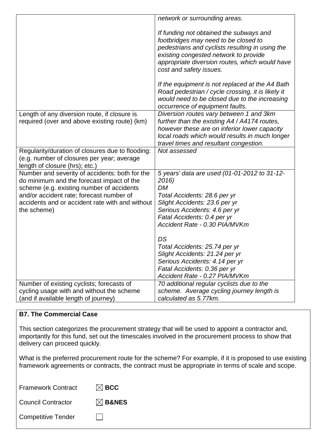|                                                                                                                                                                                                                                                        | network or surrounding areas.                                                                                                                                                                                                                            |
|--------------------------------------------------------------------------------------------------------------------------------------------------------------------------------------------------------------------------------------------------------|----------------------------------------------------------------------------------------------------------------------------------------------------------------------------------------------------------------------------------------------------------|
|                                                                                                                                                                                                                                                        | If funding not obtained the subways and<br>footbridges may need to be closed to<br>pedestrians and cyclists resulting in using the<br>existing congested network to provide<br>appropriate diversion routes, which would have<br>cost and safety issues. |
|                                                                                                                                                                                                                                                        | If the equipment is not replaced at the A4 Bath<br>Road pedestrian / cycle crossing, it is likely it<br>would need to be closed due to the increasing<br>occurrence of equipment faults.                                                                 |
| Length of any diversion route, if closure is<br>required (over and above existing route) (km)                                                                                                                                                          | Diversion routes vary between 1 and 3km<br>further than the existing A4 / A4174 routes,<br>however these are on inferior lower capacity<br>local roads which would results in much longer<br>travel times and resultant congestion.                      |
| Regularity/duration of closures due to flooding:<br>(e.g. number of closures per year; average<br>length of closure (hrs); etc.)                                                                                                                       | Not assessed                                                                                                                                                                                                                                             |
| Number and severity of accidents: both for the<br>do minimum and the forecast impact of the<br>scheme (e.g. existing number of accidents<br>and/or accident rate; forecast number of<br>accidents and or accident rate with and without<br>the scheme) | 5 years' data are used (01-01-2012 to 31-12-<br>2016)<br>DM<br>Total Accidents: 28.6 per yr<br>Slight Accidents: 23.6 per yr<br>Serious Accidents: 4.6 per yr<br>Fatal Accidents: 0.4 per yr<br>Accident Rate - 0.30 PIA/MVKm                            |
|                                                                                                                                                                                                                                                        | DS<br>Total Accidents: 25.74 per yr<br>Slight Accidents: 21.24 per yr<br>Serious Accidents: 4.14 per yr<br>Fatal Accidents: 0.36 per yr<br>Accident Rate - 0.27 PIA/MVKm                                                                                 |
| Number of existing cyclists; forecasts of<br>cycling usage with and without the scheme<br>(and if available length of journey)                                                                                                                         | 70 additional regular cyclists due to the<br>scheme. Average cycling journey length is<br>calculated as 5.77km.                                                                                                                                          |

### **B7. The Commercial Case**

This section categorizes the procurement strategy that will be used to appoint a contractor and, importantly for this fund, set out the timescales involved in the procurement process to show that delivery can proceed quickly.

What is the preferred procurement route for the scheme? For example, if it is proposed to use existing framework agreements or contracts, the contract must be appropriate in terms of scale and scope.

| <b>Framework Contract</b> | $\boxtimes$ BCC   |
|---------------------------|-------------------|
| <b>Council Contractor</b> | $\boxtimes$ B&NES |
| <b>Competitive Tender</b> |                   |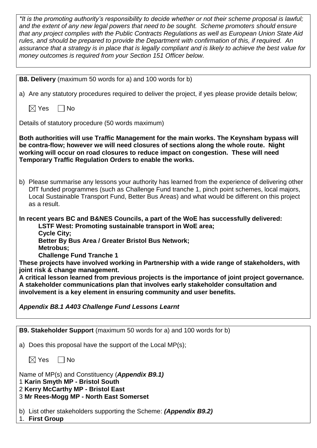| *It is the promoting authority's responsibility to decide whether or not their scheme proposal is lawful;<br>and the extent of any new legal powers that need to be sought. Scheme promoters should ensure<br>that any project complies with the Public Contracts Regulations as well as European Union State Aid<br>rules, and should be prepared to provide the Department with confirmation of this, if required. An<br>assurance that a strategy is in place that is legally compliant and is likely to achieve the best value for<br>money outcomes is required from your Section 151 Officer below.                                                                                                                                 |
|-------------------------------------------------------------------------------------------------------------------------------------------------------------------------------------------------------------------------------------------------------------------------------------------------------------------------------------------------------------------------------------------------------------------------------------------------------------------------------------------------------------------------------------------------------------------------------------------------------------------------------------------------------------------------------------------------------------------------------------------|
| <b>B8. Delivery</b> (maximum 50 words for a) and 100 words for b)                                                                                                                                                                                                                                                                                                                                                                                                                                                                                                                                                                                                                                                                         |
|                                                                                                                                                                                                                                                                                                                                                                                                                                                                                                                                                                                                                                                                                                                                           |
| a) Are any statutory procedures required to deliver the project, if yes please provide details below;                                                                                                                                                                                                                                                                                                                                                                                                                                                                                                                                                                                                                                     |
| $\boxtimes$ Yes<br>$\Box$ No                                                                                                                                                                                                                                                                                                                                                                                                                                                                                                                                                                                                                                                                                                              |
| Details of statutory procedure (50 words maximum)                                                                                                                                                                                                                                                                                                                                                                                                                                                                                                                                                                                                                                                                                         |
| Both authorities will use Traffic Management for the main works. The Keynsham bypass will<br>be contra-flow; however we will need closures of sections along the whole route. Night<br>working will occur on road closures to reduce impact on congestion. These will need<br>Temporary Traffic Regulation Orders to enable the works.                                                                                                                                                                                                                                                                                                                                                                                                    |
| b) Please summarise any lessons your authority has learned from the experience of delivering other<br>DfT funded programmes (such as Challenge Fund tranche 1, pinch point schemes, local majors,<br>Local Sustainable Transport Fund, Better Bus Areas) and what would be different on this project<br>as a result.                                                                                                                                                                                                                                                                                                                                                                                                                      |
| In recent years BC and B&NES Councils, a part of the WoE has successfully delivered:<br>LSTF West: Promoting sustainable transport in WoE area;<br><b>Cycle City;</b><br>Better By Bus Area / Greater Bristol Bus Network;<br>Metrobus;<br><b>Challenge Fund Tranche 1</b><br>These projects have involved working in Partnership with a wide range of stakeholders, with<br>joint risk & change management.<br>A critical lesson learned from previous projects is the importance of joint project governance.<br>A stakeholder communications plan that involves early stakeholder consultation and<br>involvement is a key element in ensuring community and user benefits.<br><b>Appendix B8.1 A403 Challenge Fund Lessons Learnt</b> |
|                                                                                                                                                                                                                                                                                                                                                                                                                                                                                                                                                                                                                                                                                                                                           |
| B9. Stakeholder Support (maximum 50 words for a) and 100 words for b)                                                                                                                                                                                                                                                                                                                                                                                                                                                                                                                                                                                                                                                                     |
| a) Does this proposal have the support of the Local MP(s);                                                                                                                                                                                                                                                                                                                                                                                                                                                                                                                                                                                                                                                                                |
| $\boxtimes$ Yes<br>∣ No                                                                                                                                                                                                                                                                                                                                                                                                                                                                                                                                                                                                                                                                                                                   |
| Name of MP(s) and Constituency (Appendix B9.1)<br>1 Karin Smyth MP - Bristol South<br>2 Kerry McCarthy MP - Bristol East<br>3 Mr Rees-Mogg MP - North East Somerset                                                                                                                                                                                                                                                                                                                                                                                                                                                                                                                                                                       |
| b) List other stakeholders supporting the Scheme: (Appendix B9.2)<br>1. First Group                                                                                                                                                                                                                                                                                                                                                                                                                                                                                                                                                                                                                                                       |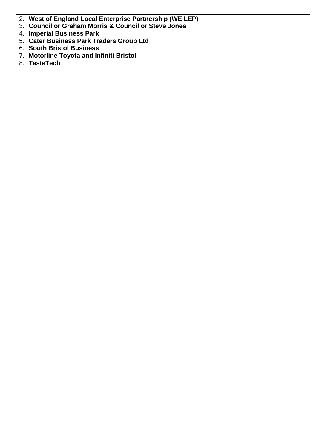- 2. **West of England Local Enterprise Partnership (WE LEP)**
- 3. **Councillor Graham Morris & Councillor Steve Jones**
- 4. **Imperial Business Park**
- 5. **Cater Business Park Traders Group Ltd**
- 6. **South Bristol Business**
- 7. **Motorline Toyota and Infiniti Bristol**
- 8. **TasteTech**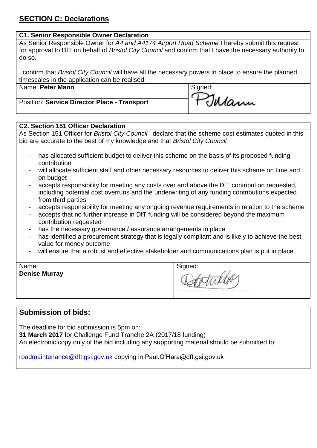## **SECTION C: Declarations**

## **C1. Senior Responsible Owner Declaration**

As Senior Responsible Owner for *A4 and A4174 Airport Road Scheme* I hereby submit this request for approval to DfT on behalf of *Bristol City Council* and confirm that I have the necessary authority to do so.

I confirm that *Bristol City Council* will have all the necessary powers in place to ensure the planned timescales in the application can be realised.

| Name: Peter Mann | Signed: |
|------------------|---------|
|                  |         |

Position: **Service Director Place - Transport**

## **C2. Section 151 Officer Declaration**

As Section 151 Officer for *Bristol City Council* I declare that the scheme cost estimates quoted in this bid are accurate to the best of my knowledge and that *Bristol City Council*

- has allocated sufficient budget to deliver this scheme on the basis of its proposed funding contribution
- will allocate sufficient staff and other necessary resources to deliver this scheme on time and on budget
- accepts responsibility for meeting any costs over and above the DfT contribution requested, including potential cost overruns and the underwriting of any funding contributions expected from third parties
- accepts responsibility for meeting any ongoing revenue requirements in relation to the scheme
- accepts that no further increase in DfT funding will be considered beyond the maximum contribution requested
- has the necessary governance / assurance arrangements in place
- has identified a procurement strategy that is legally compliant and is likely to achieve the best value for money outcome
- will ensure that a robust and effective stakeholder and communications plan is put in place

| Name:                |  |
|----------------------|--|
| <b>Denise Murray</b> |  |

Signed: totuktor

Jalann

## **Submission of bids:**

The deadline for bid submission is 5pm on: **31 March 2017** for Challenge Fund Tranche 2A (2017/18 funding) An electronic copy only of the bid including any supporting material should be submitted to:

[roadmaintenance@dft.gsi.gov.uk](mailto:roadmaintenance@dft.gsi.gov.uk) copying in Paul.O'Hara@dft.gsi.gov.uk